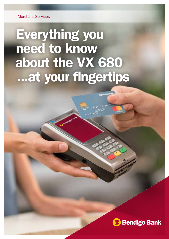# Everything you need to know about the VX 680 ...at your fingertips

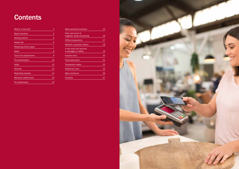## **Contents**

| What's in the box?          | 4  |
|-----------------------------|----|
| <b>Basic functions</b>      | 5  |
| <b>Getting started</b>      | 6  |
| Handy info                  | 6  |
| Replacing printer paper     | 7  |
| <b>Sales</b>                | 8  |
| Tips & Tip adjustments      | 9  |
| <b>Pre-authorisation</b>    | 10 |
| Voids                       | 12 |
| <b>Refunds</b>              | 13 |
| <b>Reprinting receipts</b>  | 14 |
| <b>Merchant settlements</b> | 15 |
| <b>Pre settlements</b>      | 15 |

| <b>Multi-merchant functions</b>   | 16 |
|-----------------------------------|----|
| Chip card errors &                |    |
| magnetic stripe processing        | 16 |
| Offline transactions              | 17 |
| <b>Network connection failure</b> | 18 |
| In the event the terminal         |    |
| is damaged or offline             | 19 |
| Voucher entry                     | 20 |
| <b>Fraud prevention</b>           | 21 |
| <b>Transaction codes</b>          | 22 |
| <b>Additional costs</b>           | 25 |
| Menu shortcuts                    | 26 |
| Contacts                          | 27 |

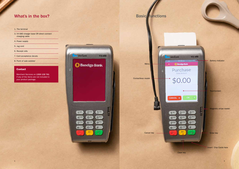### What's in the box?

Merchant Services on 1300 132 741 if any of the items are not included in your product package.

- 1. The terminal
- 3. VX 680 charger base OR direct connect charging cable
- 4. Power supply
- 5. Jug cord
- 6. Receipt rolls
- 7. Card acceptance decals
- 8. Point of sale wobbler

#### **Contact**

Menu

Contactless reader

 $1<sup>oz</sup>$ 

 $4<sup>GHI</sup>$ 

 $*$ 

Verifone



11:55 AM

**VX 680** 

**TICO** 

\$0.00

 $\bigodot$ 

6<sup>MNO</sup>

(gwxy

zе.

#

#### Magnetic stripe reader

Enter key

Insert Chip Cards here



Touchscreen

Clear key

 $(2)$ <sup>ABC</sup>

 $5$ <sup>JKL</sup>

 $8<sup>10V</sup>$ 

 $\overline{0}$ <sup>-sp</sup>



### **Basic functions**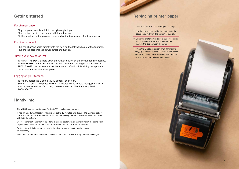### Replacing printer paper

- 1. Lift tab on back of device and pull cover up.
- 2. Lay the new receipt roll in the printer with the paper being fed from the bottom of the roll.
- 3. Close the printer cover. Ensure the cover clicks into place and the paper has been thread through the gap between the cover.
- 4. Press the 3 Dots on screen (MENU Button) to bring up the menu. Select 10. LOGON and press ENTER. If nothing prints on receipt then remove receipt paper, turn roll over and try again.

### Getting started

#### For charger base

- Plug the power supply unit into the lightning bolt port.
- Plug the jug cord into the power outlet and turn on. Sit the terminal on the powered base and wait a few seconds for it to power on.

#### For direct connect

- Plug the charging cable directly into the port on the left hand side of the terminal.
- Plug the jug cord into the power outlet and turn on.

#### Turning your device on/off

- TURN ON THE DEVICE; Hold down the GREEN button on the keypad for 10 seconds.
- TURN OFF THE DEVICE: Hold down the RED button on the keypad for 2 seconds.
- $\cdot$  PLEASE NOTE: the terminal cannot be powered off whilst it is sitting on a powered base or connected directly to power.

#### Logging on your terminal

- To log on, select the 3 dots ( MENU button ) on screen.
- Select 10. LOGON and press  $ENTER a$  receipt will be printed letting you know if your logon was successful. If not, please contact our Merchant Help Desk 1800 334 702.

### Handy info

- The VX680 runs on the Optus or Telstra GPRS mobile phone network.
- It has an auto turn-off feature, which is pre-set to 15 minutes and designed to maintain battery life. The timer can be extended but be mindful that leaving the terminal idle for extended periods will drain the battery.
- Our recommendation is that you perform a manual settlement on the terminal at the completion of your day's trade. (Note: this must be performed prior to 11:45pm AEST/AEDT).
- Battery strength is indicated on the display allowing you to monitor and re-charge as necessary.
- When on site, the terminal can be connected to the main power to keep the battery charged.

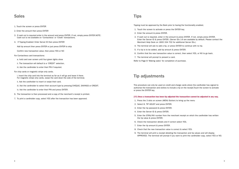Tipping must be approved by the Bank prior to having the functionality enabled.

- 1. Touch the screen to activate or press the ENTER key.
- 2. Enter the amount & press ENTER.
- 3. If cash out is required, enter in the amount & press ENTER. If not, simply press ENTER. Enter the Server ID & press ENTER. (Server IDs 1-9 are available by default. Please contact the Merchant Help Desk on 1800 334 702 for additional Server IDs.)
- 4. The terminal will ask to add a tip, or press ENTER to continue with no tip.
- 5. If a tip is to be added, add tip amount & press ENTER.
- 6. Confirm that the new transaction value is correct, then select YES, or NO to go back.
- 7. The terminal will prompt to present a card.

Refer to Page 8 'Making sales' for completion of purchase.

### Tip adjustments

This procedure can only be used on credit and charge cards where the cardholder has signed to authorise the transaction and wishes to include a tip on the receipt.Touch the screen to activate or press the ENTER key.

#### [!!!] Once a transaction has been tip adjusted the transaction cannot be adjusted in any way.

5. Enter the STAN/INV number from the merchant receipt on which the cardholder has written

- 1. Press the 3 dots on screen (MENU Button) to bring up the menu
- 2. Select 8. TIP ADUST and press ENTER.
- 3. Enter the tip password & press ENTER.
- 4. Enter the Server ID & press ENTER.
- the tip value & press ENTER.
- 6. Check the transaction details and if correct select YES.
- 7. Enter the tip amount & press ENTER.
- 8. Check that the new transaction value is correct & select YES.
- 9. The terminal will print a receipt detailing the transaction and tip values and will display APPROVED. The terminal will prompt if you want to print the cardholder copy, select YES or NO.

### Sales

- 1. Touch the screen or press ENTER
- 2. Enter the amount then press ENTER
- 3. If cash out is required enter in the amount and press ENTER. If not, simply press ENTER.NOTE: Cash out is not available on 'Contactless' or 'Credit' transactions.
- 4. If Tipping Enabled: Enter Server ID then press ENTER

Add tip amount then press ENTER or just press ENTER to skip

Confirm new transaction value, then press YES or NO

- For Contactless card transactions:
	- a. hold card over screen until four green lights show
	- ii. The transaction will default to a 'CREDIT' selection.
	- iii. Ask the cardholder to enter their PIN if required.
- For chip cards or magnetic stripe only cards.
	- i. Insert the chip card into the terminal as far as it will go and leave it there. For magnetic stripe only cards, swipe the card down the side of the terminal.
	- ii. Ask the cardholder to insert or swipe their card.
	- iii. Ask the cardholder to select their account type by pressing CHEQUE, SAVINGS or CREDIT.
	- iv. Ask the cardholder to enter their PIN and press ENTER.
- 6. The transaction is then processed and a copy of the merchant's receipt is printed.
- 7. To print a cardholder copy, select YES after the transaction has been approved.

### **Tips**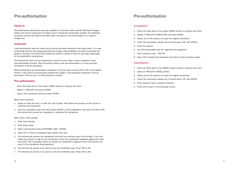### Pre-authorisation

#### Check In

Pre-authorisation transactions are only available to merchants within specific Merchant Category Codes and must be approved by the Bank prior to having the functionality enabled. The following procedure outlines the steps to be taken when carrying out a pre-authorisation on a credit or charge card.

#### Important

A pre-authorisation does not mean that an actual purchase transaction has taken place. It's a way of checking that the card being presented has enough credit available to be able to purchase the goods or services. The funds will be placed on hold for a period of three to nine days, depending on the cardholder's issuing bank.

The terminal will store the pre-authorisation record for seven days to allow completion of the pre-authorisation process. After this period, either a new pre-authorisation or a new purchase transaction must be processed.

When performing a pre-authorisation completion, the final value must be within 15% of the original amount. If the value to be processed exceeds this margin, a new purchase transaction must be processed. If this occurs, it is best practice to contact.

#### Pre-authorisation

- Press the three dots on the screen (MENU button) to bring up the menu.
- Select 4. PRE-AUTH and press ENTER.
- Type in the transaction amount & press ENTER.

When card is present:

- 1. Swipe or insert the card, or enter the card number, then follow the prompts on the screen to authorise the transaction.
- 2. Have the cardholder enter their PIN & press ENTER. (If the cardholder's card does not have a PIN the terminal will prompt for a signature to authorise the transaction.

When Card is NOT present

- 1. Enter Card Number.
- 2. Enter Expiry Date.
- 3. Select card present mode (CUSTOMER, MAIL, PHONE).
- 4. Enter CVV ( If CVV not available select reason from list )
- 5. The terminal will process the transaction and print the merchant copy of the receipt. If the card holder has chosen to sign for the transaction, check the cardholder's signature against the card and select YES if accepted. Failure to accept the cardholder's signature within 30 seconds will result in the transaction being approved.
- 6. The terminal will prompt if you want to print the cardholder copy. Press YES or NO.
- 7. The terminal will prompt if you want to print the cardholder copy. Press YES or NO.

### Pre-authorisation

#### Completion

- 1. Press the three dots on the screen (MENU button) to bring up the menu.
- 2. Select 5. PRE-AUTH COMPLETION and press ENTER.
- 3. Select one of the options to locate the original transaction.
- 4. Check the transaction details and if correct press 'OK' with ENTER..
- 5. Enter the amount.
- 6. You will be prompted with the 'approved with signature'.
- 7. Print Customer Copy YES/NO
- 8. Press OK to finalise the transaction and return to the purchase screen.

#### **Cancellation**

- 1. Press the three dots on the (MENU button) screen to bring up the menu.
- 2. Select 6. PRE-AUTH CANCELLATION.
- 3. Select one of the options to locate the original transaction.
- 4. Check the transaction details and if correct press 'OK' with ENTER.
- 5. Print customer copy of receipt if required.
- 6. Press OK to return to the purchase screen.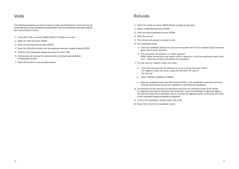### Voids

The following procedure can only be used on credit card transactions. A void can only be processed prior to the transaction being settled. Once the transaction has been settled, you must process a refund.

- 1. Press the 3 dots on screen (MENU Button) to bring up the menu
- 2. Select 9. VOID and press ENTER.
- 3. Enter the void password & press ENTER.
- 4. Enter the STAN/INV number from the approved merchant receipt & press ENTER.
- 5. Confirm if the transaction details are correct & select YES.
- 6. The terminal will process the void and print a merchant and cardholder (if requested) receipt.
- 7. Press OK to return to the purchase screen.

### **Refunds**

a. Have the cardholder present the card over the screen until the four indicator lights illuminate

NOTE: Some transactions may require a PIN or signature, or that the cardholder inserts their

- 1. Press the 3 dots on screen (MENU Button) to bring up the menu
- 2. Select 3. REFUND and press ENTER.
- 3. Enter the refund password & press ENTER.
- 4. Enter the amount.
- 5. The terminal will prompt to present a card.
- 6. For contactless cards:
	- green (two to three seconds).
	- b. The transaction will default to a 'Credit' selection. card – follow the prompts to authorise the transaction.
- 7. For chip cards or magnetic stripe only cards:
	- a. Insert the chip card into the terminal as far as it will go and leave it there. For magnetic stripe only cards, swipe the card down the side of the terminal.
	- b. Select CHEQUE, SAVINGS or CREDIT.
	- c. Have the cardholder enter their PIN & press ENTER. (If the cardholder's card does not have a PIN the terminal will prompt for a signature to authorise the transaction.
- 8. The terminal will then process the transaction and print the merchant's copy of the receipt. If a signature was used to authorise the transaction, check the cardholder's signature against the card and select Yes if accepted. Failure to accept the signature within 30 seconds will result in the transaction being processed as approved.
- 9. To print the cardholder's receipt, press YES or NO.
- 10. Press OK to return to the purchase screen.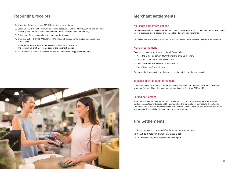### Reprinting receipts

- 1. Press the 3 dots on screen (MENU Button) to bring up the menu
- 2. Select 20. REPRINT LAST RECEIPT or you can select 21. REPRINT ANY RECEIPT to find an earlier receipt. (Once the terminal has been settled, earlier receipts cannot be printed).
- 3. Select one of the menu options to search for the transaction.
- 4. Enter the AUTH ID, STAN, AMOUNT or TIME which will appear on the original transaction and press ENTER.
- 5. When you locate the required transaction, press ENTER to select it. The terminal will print a duplicate copy of the merchant receipt.
- 6. The terminal will prompt if you want to print the cardholder's copy. Press YES or NO.



#### Merchant settlement options

Bendigo Bank offers a range of settlement options. You're required to choose the most suitable option for your business. Some options are only suitable to particular merchants.

[!!!] Make sure the terminal is plugged in and connected to the network to perform settlements.

#### Manual settlement

To process a manual settlement on the VX 680 terminal:

- Press the 3 dots on screen (MENU Button) to bring up the menu
- Select 11. SETTLEMENT and press ENTER.
- Enter the settlement password & press ENTER.
- Press YES to confirm settlement.

The terminal will process the settlement and print a detailed settlement receipt.

#### Terminal-initiated auto settlement

Our recommendation is that you perform a manual settlement on the terminal at the completion of your day's trade (Note: this must be performed prior to 11:45pm AEST/AEDT).

#### Forced settlement

If the terminal has not been settled by 11:45pm AEST/AEDT, our system will generate a forced settlement. A settlement receipt will be printed when the terminal next connects to the network. The funds will not include any transactions stored in the terminal, such as tips, reversals and offline transactions. These will be included in the next day's settlement.

### Pre Settlements

- 1. Press the 3 dots on screen (MENU Button) to bring up the menu
- 2. Select 22. SUBTOTALS REPORT and press ENTER.
- 3. The terminal will print a detailed subtotals report.

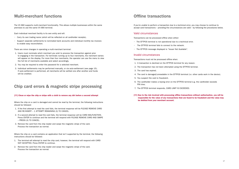### Multi-merchant functions

The VX 680 supports multi-merchant functionality. This allows multiple businesses within the same premises to use the same VX 680 terminal.

Each individual merchant facility is its own entity and will:

- Carry its own trading name (which will be reflected on all cardholder receipts).
- Support separate settlements to nominated bank accounts and individual monthly tax invoices to enable easy reconciliation.

There are minor changes in operating a multi-merchant terminal:

- 1. Users must nominate which merchant you wish to process the transaction against prior to engaging in the transaction. For terminals running up to four merchants, the merchant names will appear on the display. For more than four merchants, the operator can use the menu to view the full list of merchants available and select accordingly.
- 2. You may be required to enter the password for a selected merchant.
- 3. Individual settlements may be performed manually, or via auto-settlement (see page 15). If auto-settlement is performed, all merchants will be settled one after another and funds will be credited.

### Chip card errors & magnetic stripe processing

#### [!!!] Clean or wipe the chip or stripe with a cloth to remove any dirt before a second attempt

Where the chip on a card is damaged and cannot be read by the terminal, the following instructions should be followed:

- 1. If the first attempt to read the card fails, the terminal response will be PLEASE REMOVE CARD AND RE-INSERT – 1 ATTEMPT REMAINING (X) TO CANCEL.
- 2. If a second attempt to read the card fails, the terminal response will be CARD MALFUNCTION. Press ENTER to continue and the terminal will respond with PLEASE REMOVE CARD AND SWIPE – PRESS (X) TO CANCEL.
- 3. Remove the card from the chip reader and swipe the magnetic stripe of the card. Process the transaction as normal.

Where the chip on a card contains an application that isn't supported by the terminal, the following instructions should be followed:

- 1. The terminal will attempt to read the chip card, however, the terminal will respond with CARD NOT ACCEPTED. Press ENTER to continue.
- 2. Remove the card from the chip reader and swipe the magnetic stripe of the card. Process the transaction as normal.

### Offline transactions

If you're unable to perform a transaction due to a technical error, you may choose to continue to accept card transactions – providing the circumstances are valid – by following the procedures below.

#### Valid circumstances

Transactions can be processed offline when either:

- The EFTPOS terminal is not operational due to a technical error.
- The EFTPOS terminal fails to connect to the network.
- The EFTPOS message displayed is "Issuer Not Available".

#### Invalid circumstances

Transactions must not be processed offline when:

- 1. A transaction is declined on the EFTPOS terminal for any reason.
- 2. The transaction has not been attempted using the EFTPOS terminal.
- 3. The card has expired.
- 4. The card is damaged/unreadable in the EFTPOS terminal (i.e. other cards work in the device).
- 5. You suspect the card is fraudulent.
- 6. The cardholder makes a keying error on the EFTPOS terminal e.g. the cardholder exceeds PIN tries.
- 7. The EFTPOS terminal responds, CARD LIMIT IS EXCEEDED.
- [!!!] Due to the risk involved with processing offline transactions without authorisation, you will be be debited from your merchant account.

### responsible for the value of any transactions that are found to be fraudulent and the value may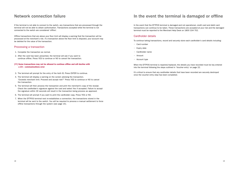### Network connection failure

If the terminal is not able to connect to the switch, any transactions that are processed through the terminal will not be able to obtain authorisation. Transactions accepted while the terminal is not connected to the switch are considered 'offline'.

Offline transactions that are above your floor limit will display a warning that the transaction will be processed at the merchant's risk. If a transaction above the floor limit is disputed, your account may be debited for the value of the transaction.

#### Processing a transaction

- 1. Complete the transaction as normal.
- 2. After the card has been presented, the terminal will ask if you want to continue offline. Press YES to continue or NO to cancel the transaction.
- [!!!] Some transactions may not be allowed to continue offline and will decline with a Z3 – communications error
- 3. The terminal will prompt for the entry of the Auth ID. Press ENTER to continue.
- 4. The terminal will display a warning on the screen advising the transaction. "Exceeds merchant limit. Proceed and accept risk?" Press YES to continue or NO to cancel the transaction.
- 5. The terminal will then process the transaction and print the merchant's copy of the receipt. Check the cardholder's signature against the card and select Yes if accepted. Failure to accept the signature within 30 seconds will result in the transaction being process as approved.
- 6. The terminal will prompt if you want to print the cardholder copy. Press YES or NO.
- 7. When the EFTPOS terminal next re-establishes a connection, the transactions stored in the terminal will be sent to the switch. You will be required to process a manual settlement to force offline transactions through the system (see page 15).

### In the event the terminal is damaged or offline

In the event that the EFTPOS terminal is damaged and not operational, credit card and debit card transactions can continue to be taken. These transactions are accepted at your risk and the damaged terminal must be reported to the Merchant Help Desk on 1800 334 702.

#### Cardholder details

To continue taking transactions, record and securely store each cardholder's card details including:

- Card number
- Expiry date
- Cardholder name
- Amount
- Account type

When the EFTPOS terminal is repaired/replaced, the details you have recorded must be key entered into the terminal following the steps outlined in 'Voucher entry' on page 22.

It's critical to ensure that any cardholder details that have been recorded are securely destroyed once the voucher entry step has been completed.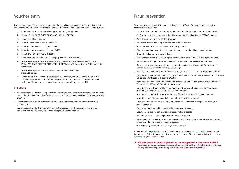### Voucher entry

Transactions processed using the voucher entry functionality are processed offline and do not have the ability to be authorised – all transactions accepted above the floor limit are processed at your risk.

- 1. Press the 3 dots on screen (MENU Button) to bring up the menu
- 2. Select 13. VOUCHER ENTRY PURCHASE and press ENTER
- 3. Enter your offline password.
- 4. Enter the sale amount and press ENTER.
- 5. Enter the card number and press ENTER.
- 6. Enter the card expiry date and press ENTER.
- 7. Select SAVINGS, CHEQUE or CREDIT.
- 8. When prompted to enter AUTH ID, simply press ENTER to continue.
- 9. The terminal will display a warning on the screen advising the transaction EXCEEDS MERCHANT LIMIT. PROCEED AND ACCEPT RISK? Press YES to continue or NO to cancel the transaction.
- 10. The terminal will prompt if you want to print the cardholder copy. Press YES or NO.
- 11. When the EFTPOS terminal re-establishes a connection, the transactions stored in the EFTPOS terminal will be sent to the network. You will be required to process a manual settlement to force offline transactions through the system (see page 15).

#### Important

- You are responsible for assessing the validity of the circumstance for the completion of an offline transaction. Call Merchant Services on 1300 132 741 (option 2) if uncertain of the validity of any situation.
- Every transaction must be attempted on the EFTPOS terminal before an offline transaction is completed.
- You are responsible for the value of an offline transaction if the transaction is found to be fraudulent and the value may be debited from your merchant account.

### Fraud prevention

We've put together some tips to help minimise the risk of fraud. The best course of action is awareness and prevention.

- Check the name on the card fits the customer (i.e. ensure the card is not used by a minor).
- Confirm the card number matches the abbreviated number printed on an EFTPOS receipt.
- Keep the card until you check the signature.
- Be wary of unusual shopping behaviour and multiple declines.
- Be wary when splitting a transaction over multiple cards.
- When the card is present, insert or swipe the card never hand-key the card number.
- Check the holograms and validity dates.
- Don't process transactions on unsigned cards or cards with "See ID" in the signature panel.
- Be suspicious of large or unusual phone or internet orders, especially from overseas.
- If the goods are paid for over the phone, when the goods are collected ask for the card and arrange for the customer to sign the sales receipt.
- Especially for phone and internet orders, deliver goods to a person in a buildingand ask for ID.
- For internet, phone or mail orders, confirm your customer is the genuinecardholder. Your business will be liable for losses in a dispute situation.
- If you have any reservations or concerns in regards to a transaction, please contact Merchant Operations on 1300 132 741 prior to processing.
- Authorisation is not proof of identity or guarantee of payment. It simply confirms funds are available and the card hasn't been reported lost or stolen.
- Never process transactions for someone else. You will be liable in a dispute situation.
- Never fulfill requests for goods that you don't normally trade in or sell.
- Keep your terminal secure at all times and minimise the number of people who know your refund password.
- Protect your customer's PIN never point cameras at terminals.
- Securely store transaction receipts containing full card details.
- For terminal service or exchange, ask for bank identification.
- If you're not comfortable accepting card payment and the customer won't provide another form of payment, don't proceed with the transaction.
- Your safety is paramount never put yourself in danger.

In the event of a dispute, the onus is on you to prove the goods or services were provided to the rightful owner. Failure to prove this will result in the full value of the transaction being debited from your account, plus any dispute fee.

#### [!!!] The fraud prevention examples provided are not a complete list of measures to minimise fraudulent behaviour or risks associated with merchant facilities. Bendigo Bank is not liable for any loss or damage suffered by you in reliance on this list of examples.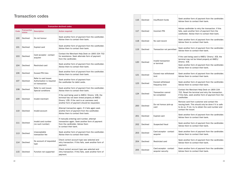### Transaction codes

| <b>Transaction declined codes</b> |                              |                                                                      |                                                                                                                                                                                                     |
|-----------------------------------|------------------------------|----------------------------------------------------------------------|-----------------------------------------------------------------------------------------------------------------------------------------------------------------------------------------------------|
| <b>Code</b>                       | <b>Transaction</b><br>status | <b>Description</b>                                                   | <b>Action required</b>                                                                                                                                                                              |
| 100                               | Declined                     | Do not honour                                                        | Seek another form of payment from the cardholder.<br>Advise them to contact their bank.                                                                                                             |
| 101                               | Declined                     | <b>Expired card</b>                                                  | Seek another form of payment from the cardholder.<br>Advise them to contact their bank.                                                                                                             |
| 103                               | Declined                     | Card acceptor - contact<br>acquirer                                  | Contact the Merchant Help Desk on 1800 334 702<br>for assistance. Seek alternate form of payment<br>from the cardholder.                                                                            |
| 104                               | Declined                     | Restricted card                                                      | Seek another form of payment from the cardholder.<br>Advise them to contact their bank.                                                                                                             |
| 106                               | Declined                     | <b>Exceed PIN tries</b>                                              | Seek another form of payment from the cardholder.<br>Advise them to contact their bank.                                                                                                             |
| 107                               | Declined                     | Refer to card issuer.<br>Authorisation is required<br>on transaction | Seek another form of payment from<br>the cardholder for debit cards.                                                                                                                                |
| 108                               | Declined                     | Refer to card issuer.<br>Special conditions                          | Seek another form of payment from the cardholder.<br>Advise them to contact their bank.                                                                                                             |
| 109                               | Declined                     | Invalid merchant                                                     | If the card being used is AMEX/ Diners/ JCB, the<br>terminal has not been linked properly at AMEX/<br>Diners/ JCB. If the card is an overseas card,<br>another form of payment should be requested. |
| 110                               | Declined                     | Invalid account                                                      | Attempt transaction again. If it fails again seek<br>another form of payment from the cardholder.<br>Advise them to contact their bank.                                                             |
| 111                               | Declined                     | Invalid card number<br>(no such number)                              | If manually entering card number, attempt<br>transaction again. Seek another form of payment<br>from the cardholder. Advise them<br>to contact their bank.                                          |
| 113                               | Declined                     | Unacceptable<br>transaction fee                                      | Seek another form of payment from the cardholder.<br>Advise them to contact their bank.                                                                                                             |
| 114                               | Declined                     | No account of requested<br>type                                      | Check correct account type was selected and<br>retry transaction. If this fails, seek another form of<br>payment.                                                                                   |
| 115                               | Declined                     | Function not supported                                               | Check correct account type was selected and<br>retry transaction. If this fails, seek another form of<br>payment.                                                                                   |

Advise cardholder to retry the transaction. If this ails, seek another form of payment from the ardholder. Advise them to contact their bank.

I beck another form of payment from the cardholder. dvise them to contact their bank.

ieek another form of payment from the cardholder. Advise them to contact their bank.

the card being used is AMEX/ Diners/ JCB, the erminal may not be linked properly at AMEX/ Diners/ JCB.

Seek another form of payment from the cardholder. dvise them to contact their bank.

Contact the Merchant Help Desk on 1800 334 702. Reset the terminal and retry the transaction. this fails, seek another form of payment from the ardholder.

Remove card from customer and contact the ssuing bank. This should only be done if it is safe o do so. If not, try to obtain the card number and ontact the issuer.

eek another form of payment from the cardholder. Advise them to contact their bank.

Examely another form of payment from the cardholder. Advise them to contact their bank.

Seek another form of payment from the cardholder. dvise them to contact their bank.

leek another form of payment from the cardholder. Advise them to contact their bank.

Seek another form of payment from the cardholder. Advise them to contact their bank.

Seek another form of payment from the cardholder. Advise them to contact their bank.

Seek another form of payment from the cardholder. dvise them to contact their bank.

| 116 | Declined | Insufficient funds                           | S١<br>A                              |
|-----|----------|----------------------------------------------|--------------------------------------|
| 117 | Declined | <b>Incorrect PIN</b>                         | A<br>fa<br>Ca                        |
| 118 | Declined | No card record                               | S <sub>0</sub><br>A٥                 |
| 119 | Declined | Transaction not permitted                    | S <sub>0</sub><br>A٥                 |
| 120 | Declined | Invalid transaction<br>or terminal           | lf<br>te<br>D<br>S <sub>0</sub><br>A |
| 121 | Declined | Exceed max withdrawal<br>limit               | S <sub>0</sub><br>A                  |
| 123 | Declined | <b>Exceed withdrawal</b><br>frequency limit  | S <sub>0</sub><br>A                  |
| 124 | Declined | <b>Transaction cannot</b><br>be completed    | C(<br>7(<br>lf<br>Ca                 |
| 200 | Declined | Do not honour pick-up<br>card                | R١<br>is<br>to<br>C)                 |
| 201 | Declined | <b>Expired card</b>                          | S <sub>0</sub><br>A                  |
| 202 | Declined | Suspected fraud                              | S١<br>A                              |
| 203 | Declined | Card acceptor - contact<br>acquirer          | S <sub>0</sub><br>A                  |
| 204 | Declined | Restricted card                              | S١<br>A                              |
| 205 | Declined | Card acceptor - contact<br>acquirer security | $\mathsf{S}$<br>A٥                   |

eek another form of payment from the cardholder. dvise them to contact their bank.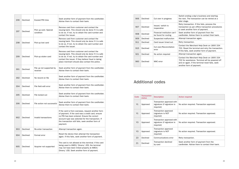| 206 | Declined | <b>Exceed PIN tries</b>              | Seek another form of payment from the cardholder.<br>Advise them to contact their bank.                                                                                                                                                                                      |  |
|-----|----------|--------------------------------------|------------------------------------------------------------------------------------------------------------------------------------------------------------------------------------------------------------------------------------------------------------------------------|--|
| 207 | Declined | Pick up card. Special<br>condition   | Remove card from customer and contact the<br>issuing bank. This should only be done if it is safe<br>to do so. If not, try to obtain the card number and<br>contact the issuer.                                                                                              |  |
| 208 | Declined | Pick-up lost card                    | Remove card from customer and contact the<br>issuing bank. This should only be done if it is safe<br>to do so. If not, try to obtain the card number and<br>contact the issuer.                                                                                              |  |
| 209 | Declined | Pick-up stolen card                  | Remove card from customer and contact the<br>issuing bank. This should only be done if it is safe<br>to do so. If not, try to obtain the card number and<br>contact the issuer. If they believe fraud is taking<br>place merchant should also contact the police.            |  |
| 301 | Declined | File up not supported by<br>receiver | Seek another form of payment from the cardholder.<br>Advise them to contact their bank.                                                                                                                                                                                      |  |
| 302 | Declined | No record on file                    | Seek another form of payment from the cardholder.<br>Advise them to contact their bank.                                                                                                                                                                                      |  |
| 304 | Declined | File field edit error                | Seek another form of payment from the cardholder.<br>Advise them to contact their bank.                                                                                                                                                                                      |  |
| 305 | Declined | File locked out                      | Seek another form of payment from the cardholder.<br>Advise them to contact their bank.                                                                                                                                                                                      |  |
| 306 | Declined | File action not successful           | Seek another form of payment from the cardholder.<br>Advise them to contact their bank.                                                                                                                                                                                      |  |
| 902 | Declined | Invalid transactions                 | If the card is from overseas, request another form<br>of payment. If the card was a credit card, ensure<br>no PIN has been entered. Ensure the correct<br>account type was selected for the transaction. If<br>the transaction still fails, seek another form of<br>payment. |  |
| 903 | Declined | Re-enter transaction                 | Attempt transaction again.                                                                                                                                                                                                                                                   |  |
| 904 | Declined | Format error                         | Reset the device then attempt the transaction<br>again. If this fails, seek another form of payment.                                                                                                                                                                         |  |
| 905 | Declined | Acquirer not supported               | The card is not allowed at this terminal. If the card<br>being used is AMEX/ Diners/ JCB, the terminal<br>may not have been linked properly at AMEX/<br>Diners/ JCB. Seek another form of payment.                                                                           |  |

- No action required. Transaction approved.
- No action required. Transaction approved.
- No action required. Transaction approved.
- No action required. Transaction approved.
- Retry transaction.
- Seek another form of payment from the ardholder. Advise them to contact their bank.

| Code           | <b>Transaction</b><br><b>status</b> | <b>Description</b>                                                   |          |
|----------------|-------------------------------------|----------------------------------------------------------------------|----------|
| Y1             | Approved                            | Transaction approved with<br>signature (if signature is<br>required) | N        |
| Y1             | Approved                            | Transaction approved<br>(signature is NOT<br>required)               | N٥       |
| Y3             | Approved                            | Transaction approved with<br>signature (if signature is<br>required) | N        |
| Y3             | Approved                            | Transaction approved<br>(signature is NOT<br>required)               | N        |
| Z <sub>3</sub> | Declined                            | Communications error                                                 | R٤       |
| Z1             | Declined                            | <b>Transaction declined</b><br>by card                               | Sε<br>Cε |

- witch ending a day's business and starting e next. The transaction can be retried at a ter stage.
- etry transaction. If this fails, process the ansaction as per offline transaction procedures seek another form of payment.
- eek another form of payment from the ardholder. Advise them to contact their bank.
- tempt transaction again.
- etry transaction.
- ontact the Merchant Help Desk on 1800 334 02. Reset the terminal and retry the transaction. this fails, seek another form of payment. tempt transaction again.
- ontact the Merchant Help Desk on 1800 334 02 for assistance. Terminal will be powered off ad on again. If the terminal reset fails, seek nother form of payment.

#### ction required

### Additional codes

| 906 | Declined | Cut over in progress                                | Sw<br>the<br>lat      |
|-----|----------|-----------------------------------------------------|-----------------------|
| 907 | Declined | Issuer/ switch is<br>inoperative                    | Re<br>tra<br>or       |
| 908 | Declined | Financial institution can't<br>be found for routing | Se<br>caı             |
| 909 | Declined | Suspected malfunction                               | Att                   |
| 911 | Declined | Card issuer timed out                               | Re                    |
| 915 | Declined | Cut over/Reconciliation<br>error                    | Co<br>70<br>lf t      |
| 921 | Declined | No action required                                  | Att                   |
| 960 | Declined | MAC error                                           | Co<br>70<br>anı<br>an |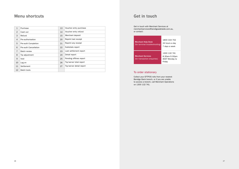### Menu shortcuts

| $\mathbf{1}$   | Purchase                     | 13 | Voucher entry purchase   |
|----------------|------------------------------|----|--------------------------|
| 2              | Cash out                     | 14 | Voucher entry refund     |
| 3              | Refund                       | 15 | Merchant deposit         |
| $\overline{4}$ | Pre-authorisation            | 20 | Reprint last receipt     |
| 5              | Pre-auth Completion          | 21 | Reprint any receipt      |
| 6              | <b>Pre-auth Cancellation</b> | 22 | Subtotals report         |
| $\overline{7}$ | <b>Batch review</b>          | 23 | Last settlement report   |
| 8              | Tip adjustment               | 24 | Detail report            |
| 9              | Void                         | 25 | Pending offlines report  |
| 10             | Log on                       | 26 | Tip/server total report  |
| 11             | Settlement                   | 27 | Tip/server detail report |
| 12             | <b>Batch tools</b>           |    |                          |

#### To order stationary

Collect your EFTPOS rolls from your nearest Bendigo Bank branch, or if you are unable to access a branch, call Merchant Operations on 1300 132 741.

Get in touch with Merchant Services at merchantservices@bendigoadelaide.com.au, or contact:

### Get in touch

| <b>Merchant Help Desk</b><br>(for terminal troubleshooting) | 1800 334 702<br>24 hours a day<br>7 days a week                  |
|-------------------------------------------------------------|------------------------------------------------------------------|
| <b>Merchant Services</b><br>(for transaction enquiries)     | 1300 132 741<br>8:30am-5:00pm<br><b>AEST Monday to</b><br>Friday |